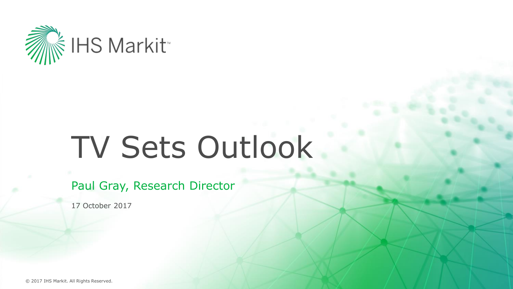

# TV Sets Outlook

Paul Gray, Research Director

17 October 2017

© 2017 IHS Markit. All Rights Reserved.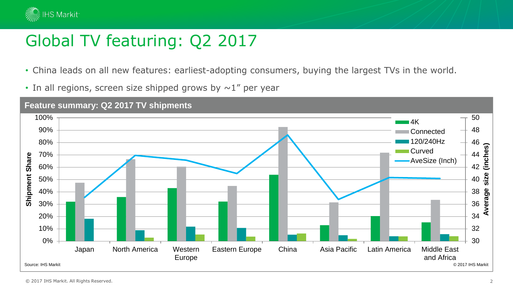

## Global TV featuring: Q2 2017

- China leads on all new features: earliest-adopting consumers, buying the largest TVs in the world.
- In all regions, screen size shipped grows by  $\sim$  1" per year

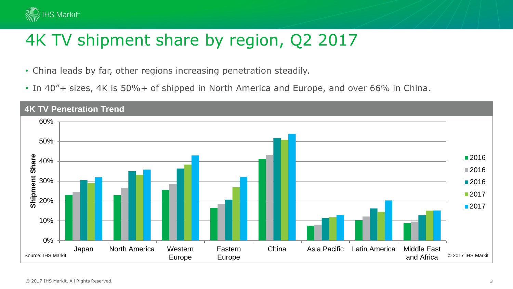

## 4K TV shipment share by region, Q2 2017

- China leads by far, other regions increasing penetration steadily.
- In 40"+ sizes, 4K is 50%+ of shipped in North America and Europe, and over 66% in China.

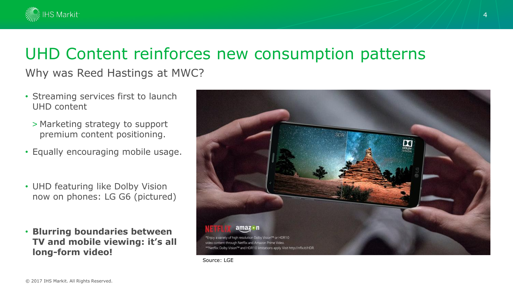

#### UHD Content reinforces new consumption patterns

Why was Reed Hastings at MWC?

- Streaming services first to launch UHD content
	- > Marketing strategy to support premium content positioning.
- Equally encouraging mobile usage.
- UHD featuring like Dolby Vision now on phones: LG G6 (pictured)
- **Blurring boundaries between TV and mobile viewing: it's all long-form video!**



Source: LGE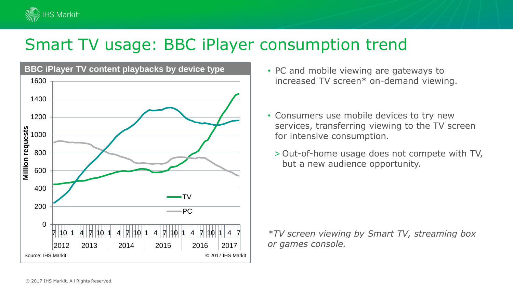

#### Smart TV usage: BBC iPlayer consumption trend



- PC and mobile viewing are gateways to increased TV screen\* on-demand viewing.
- Consumers use mobile devices to try new services, transferring viewing to the TV screen for intensive consumption.
	- > Out-of-home usage does not compete with TV, but a new audience opportunity.

*\*TV screen viewing by Smart TV, streaming box or games console.*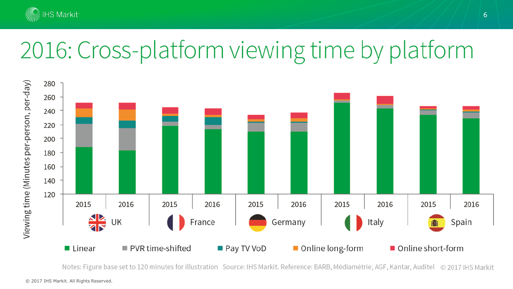

# 2016: Cross-platform viewing time by platform



Notes: Figure base set to 120 minutes for illustration Source: IHS Markit. Reference: BARB, Médiamétrie, AGF, Kantar, Auditel © 2017 IHS Markit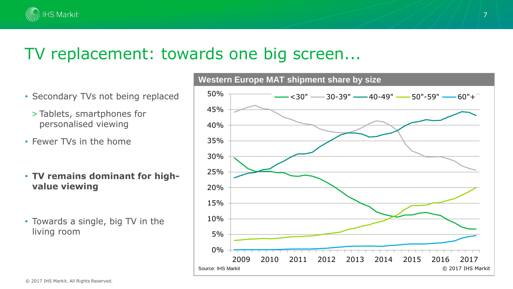

#### TV replacement: towards one big screen...

- Secondary TVs not being replaced
	- > Tablets, smartphones for personalised viewing
- Fewer TVs in the home
- **TV remains dominant for highvalue viewing**
- Towards a single, big TV in the living room

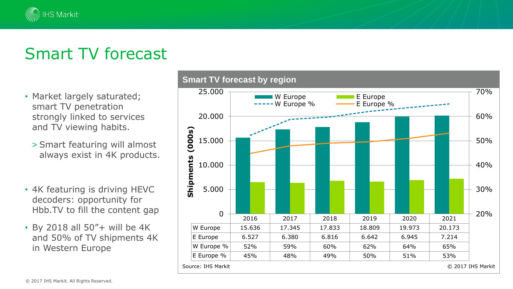#### Smart TV forecast

∛ IHS Markit<sup>.</sup>

- Market largely saturated; smart TV penetration strongly linked to services and TV viewing habits.
	- > Smart featuring will almost always exist in 4K products.
- 4K featuring is driving HEVC decoders: opportunity for Hbb.TV to fill the content gap
- By 2018 all 50"+ will be 4K and 50% of TV shipments 4K in Western Europe

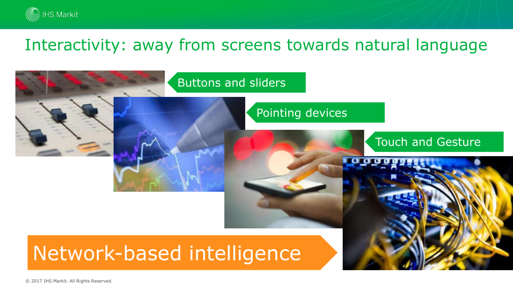

#### Interactivity: away from screens towards natural language

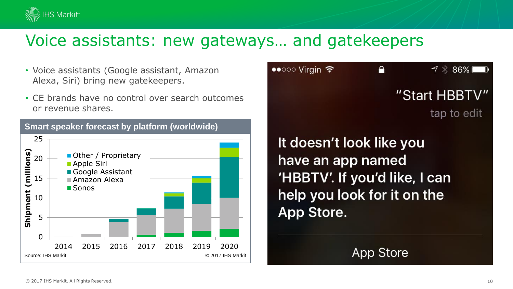

#### Voice assistants: new gateways… and gatekeepers

- Voice assistants (Google assistant, Amazon Alexa, Siri) bring new gatekeepers.
- CE brands have no control over search outcomes or revenue shares.





It doesn't look like you have an app named 'HBBTV'. If you'd like, I can help you look for it on the App Store.

App Store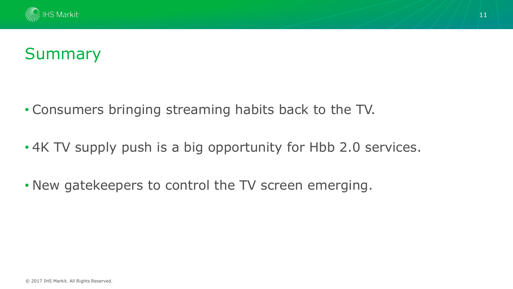

#### Summary

- Consumers bringing streaming habits back to the TV.
- 4K TV supply push is a big opportunity for Hbb 2.0 services.
- New gatekeepers to control the TV screen emerging.